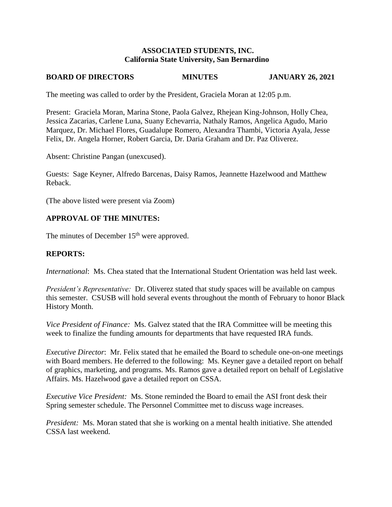#### **ASSOCIATED STUDENTS, INC. California State University, San Bernardino**

## **BOARD OF DIRECTORS MINUTES JANUARY 26, 2021**

The meeting was called to order by the President, Graciela Moran at 12:05 p.m.

Present: Graciela Moran, Marina Stone, Paola Galvez, Rhejean King-Johnson, Holly Chea, Jessica Zacarias, Carlene Luna, Suany Echevarria, Nathaly Ramos, Angelica Agudo, Mario Marquez, Dr. Michael Flores, Guadalupe Romero, Alexandra Thambi, Victoria Ayala, Jesse Felix, Dr. Angela Horner, Robert Garcia, Dr. Daria Graham and Dr. Paz Oliverez.

Absent: Christine Pangan (unexcused).

Guests: Sage Keyner, Alfredo Barcenas, Daisy Ramos, Jeannette Hazelwood and Matthew Reback.

(The above listed were present via Zoom)

#### **APPROVAL OF THE MINUTES:**

The minutes of December 15<sup>th</sup> were approved.

#### **REPORTS:**

*International*: Ms. Chea stated that the International Student Orientation was held last week.

*President's Representative:* Dr. Oliverez stated that study spaces will be available on campus this semester. CSUSB will hold several events throughout the month of February to honor Black History Month.

*Vice President of Finance:* Ms. Galvez stated that the IRA Committee will be meeting this week to finalize the funding amounts for departments that have requested IRA funds.

*Executive Director*: Mr. Felix stated that he emailed the Board to schedule one-on-one meetings with Board members. He deferred to the following: Ms. Keyner gave a detailed report on behalf of graphics, marketing, and programs. Ms. Ramos gave a detailed report on behalf of Legislative Affairs. Ms. Hazelwood gave a detailed report on CSSA.

*Executive Vice President:* Ms. Stone reminded the Board to email the ASI front desk their Spring semester schedule. The Personnel Committee met to discuss wage increases.

*President:* Ms. Moran stated that she is working on a mental health initiative. She attended CSSA last weekend.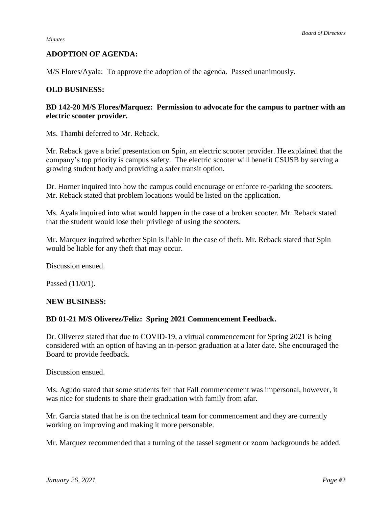### **ADOPTION OF AGENDA:**

M/S Flores/Ayala: To approve the adoption of the agenda. Passed unanimously.

### **OLD BUSINESS:**

### **BD 142-20 M/S Flores/Marquez: Permission to advocate for the campus to partner with an electric scooter provider.**

Ms. Thambi deferred to Mr. Reback.

Mr. Reback gave a brief presentation on Spin, an electric scooter provider. He explained that the company's top priority is campus safety. The electric scooter will benefit CSUSB by serving a growing student body and providing a safer transit option.

Dr. Horner inquired into how the campus could encourage or enforce re-parking the scooters. Mr. Reback stated that problem locations would be listed on the application.

Ms. Ayala inquired into what would happen in the case of a broken scooter. Mr. Reback stated that the student would lose their privilege of using the scooters.

Mr. Marquez inquired whether Spin is liable in the case of theft. Mr. Reback stated that Spin would be liable for any theft that may occur.

Discussion ensued.

Passed (11/0/1).

#### **NEW BUSINESS:**

#### **BD 01-21 M/S Oliverez/Feliz: Spring 2021 Commencement Feedback.**

Dr. Oliverez stated that due to COVID-19, a virtual commencement for Spring 2021 is being considered with an option of having an in-person graduation at a later date. She encouraged the Board to provide feedback.

Discussion ensued.

Ms. Agudo stated that some students felt that Fall commencement was impersonal, however, it was nice for students to share their graduation with family from afar.

Mr. Garcia stated that he is on the technical team for commencement and they are currently working on improving and making it more personable.

Mr. Marquez recommended that a turning of the tassel segment or zoom backgrounds be added.